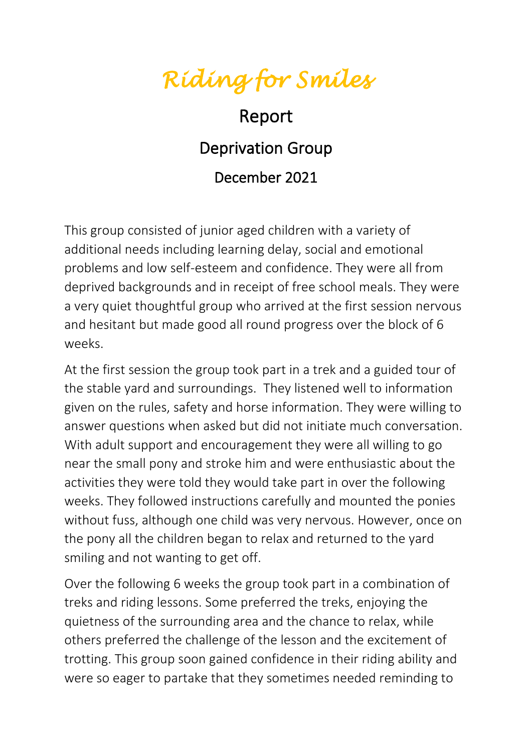## *Riding for Smiles*

## Report Deprivation Group December 2021

This group consisted of junior aged children with a variety of additional needs including learning delay, social and emotional problems and low self-esteem and confidence. They were all from deprived backgrounds and in receipt of free school meals. They were a very quiet thoughtful group who arrived at the first session nervous and hesitant but made good all round progress over the block of 6 weeks.

At the first session the group took part in a trek and a guided tour of the stable yard and surroundings. They listened well to information given on the rules, safety and horse information. They were willing to answer questions when asked but did not initiate much conversation. With adult support and encouragement they were all willing to go near the small pony and stroke him and were enthusiastic about the activities they were told they would take part in over the following weeks. They followed instructions carefully and mounted the ponies without fuss, although one child was very nervous. However, once on the pony all the children began to relax and returned to the yard smiling and not wanting to get off.

Over the following 6 weeks the group took part in a combination of treks and riding lessons. Some preferred the treks, enjoying the quietness of the surrounding area and the chance to relax, while others preferred the challenge of the lesson and the excitement of trotting. This group soon gained confidence in their riding ability and were so eager to partake that they sometimes needed reminding to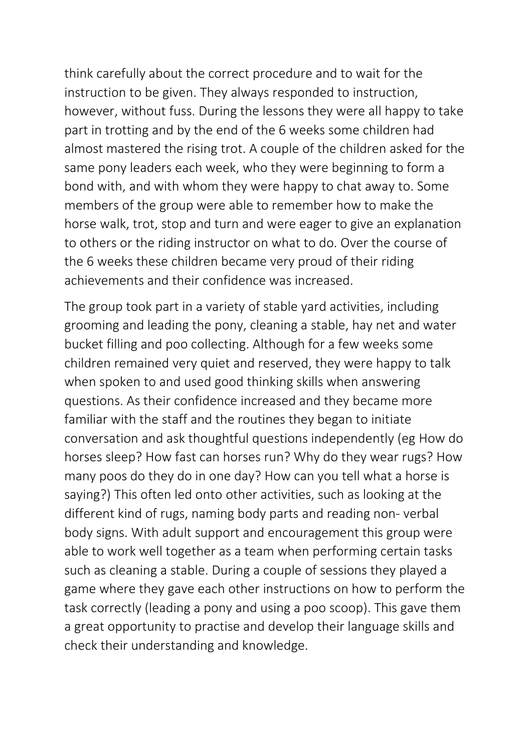think carefully about the correct procedure and to wait for the instruction to be given. They always responded to instruction, however, without fuss. During the lessons they were all happy to take part in trotting and by the end of the 6 weeks some children had almost mastered the rising trot. A couple of the children asked for the same pony leaders each week, who they were beginning to form a bond with, and with whom they were happy to chat away to. Some members of the group were able to remember how to make the horse walk, trot, stop and turn and were eager to give an explanation to others or the riding instructor on what to do. Over the course of the 6 weeks these children became very proud of their riding achievements and their confidence was increased.

The group took part in a variety of stable yard activities, including grooming and leading the pony, cleaning a stable, hay net and water bucket filling and poo collecting. Although for a few weeks some children remained very quiet and reserved, they were happy to talk when spoken to and used good thinking skills when answering questions. As their confidence increased and they became more familiar with the staff and the routines they began to initiate conversation and ask thoughtful questions independently (eg How do horses sleep? How fast can horses run? Why do they wear rugs? How many poos do they do in one day? How can you tell what a horse is saying?) This often led onto other activities, such as looking at the different kind of rugs, naming body parts and reading non- verbal body signs. With adult support and encouragement this group were able to work well together as a team when performing certain tasks such as cleaning a stable. During a couple of sessions they played a game where they gave each other instructions on how to perform the task correctly (leading a pony and using a poo scoop). This gave them a great opportunity to practise and develop their language skills and check their understanding and knowledge.